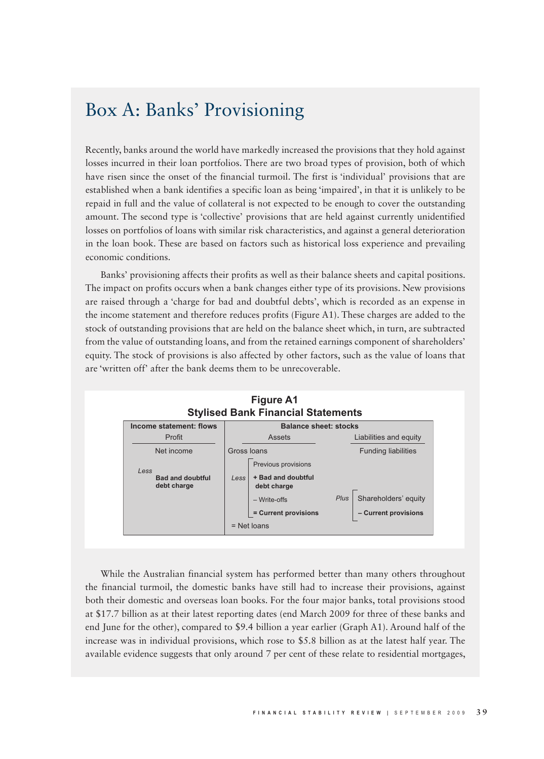## Box A: Banks' Provisioning

Recently, banks around the world have markedly increased the provisions that they hold against losses incurred in their loan portfolios. There are two broad types of provision, both of which have risen since the onset of the financial turmoil. The first is 'individual' provisions that are established when a bank identifies a specific loan as being 'impaired', in that it is unlikely to be repaid in full and the value of collateral is not expected to be enough to cover the outstanding amount. The second type is 'collective' provisions that are held against currently unidentified losses on portfolios of loans with similar risk characteristics, and against a general deterioration in the loan book. These are based on factors such as historical loss experience and prevailing economic conditions.

Banks' provisioning affects their profits as well as their balance sheets and capital positions. The impact on profits occurs when a bank changes either type of its provisions. New provisions are raised through a 'charge for bad and doubtful debts', which is recorded as an expense in the income statement and therefore reduces profits (Figure A1). These charges are added to the stock of outstanding provisions that are held on the balance sheet which, in turn, are subtracted from the value of outstanding loans, and from the retained earnings component of shareholders' equity. The stock of provisions is also affected by other factors, such as the value of loans that are 'written off' after the bank deems them to be unrecoverable.



While the Australian financial system has performed better than many others throughout the financial turmoil, the domestic banks have still had to increase their provisions, against both their domestic and overseas loan books. For the four major banks, total provisions stood at \$17.7 billion as at their latest reporting dates (end March 2009 for three of these banks and end June for the other), compared to \$9.4 billion a year earlier (Graph A1). Around half of the increase was in individual provisions, which rose to \$5.8 billion as at the latest half year. The available evidence suggests that only around 7 per cent of these relate to residential mortgages,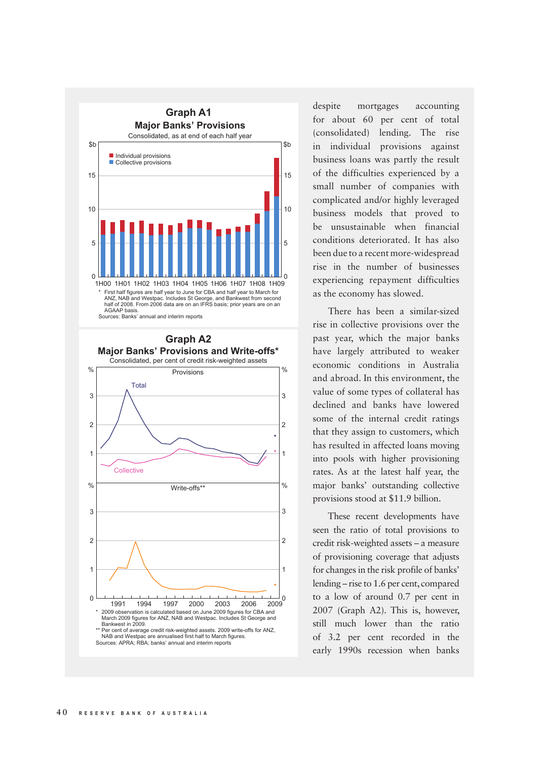



despite mortgages accounting for about 60 per cent of total (consolidated) lending. The rise in individual provisions against business loans was partly the result of the difficulties experienced by a small number of companies with complicated and/or highly leveraged business models that proved to be unsustainable when financial conditions deteriorated. It has also been due to a recent more-widespread rise in the number of businesses experiencing repayment difficulties as the economy has slowed.

There has been a similar-sized rise in collective provisions over the past year, which the major banks have largely attributed to weaker economic conditions in Australia and abroad. In this environment, the value of some types of collateral has declined and banks have lowered some of the internal credit ratings that they assign to customers, which has resulted in affected loans moving into pools with higher provisioning rates. As at the latest half year, the major banks' outstanding collective provisions stood at \$11.9 billion.

These recent developments have seen the ratio of total provisions to credit risk-weighted assets – a measure of provisioning coverage that adjusts for changes in the risk profile of banks' lending – rise to 1.6 per cent, compared to a low of around 0.7 per cent in 2007 (Graph A2). This is, however, still much lower than the ratio of 3.2 per cent recorded in the early 1990s recession when banks